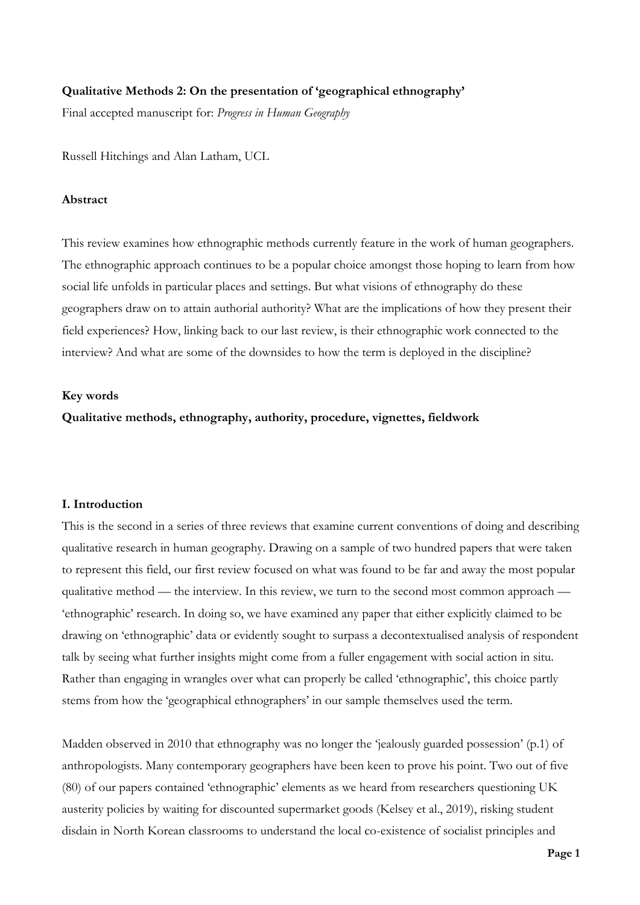# **Qualitative Methods 2: On the presentation of 'geographical ethnography'**

Final accepted manuscript for: *Progress in Human Geography*

Russell Hitchings and Alan Latham, UCL

# **Abstract**

This review examines how ethnographic methods currently feature in the work of human geographers. The ethnographic approach continues to be a popular choice amongst those hoping to learn from how social life unfolds in particular places and settings. But what visions of ethnography do these geographers draw on to attain authorial authority? What are the implications of how they present their field experiences? How, linking back to our last review, is their ethnographic work connected to the interview? And what are some of the downsides to how the term is deployed in the discipline?

### **Key words**

**Qualitative methods, ethnography, authority, procedure, vignettes, fieldwork**

## **I. Introduction**

This is the second in a series of three reviews that examine current conventions of doing and describing qualitative research in human geography. Drawing on a sample of two hundred papers that were taken to represent this field, our first review focused on what was found to be far and away the most popular qualitative method — the interview. In this review, we turn to the second most common approach — 'ethnographic' research. In doing so, we have examined any paper that either explicitly claimed to be drawing on 'ethnographic' data or evidently sought to surpass a decontextualised analysis of respondent talk by seeing what further insights might come from a fuller engagement with social action in situ. Rather than engaging in wrangles over what can properly be called 'ethnographic', this choice partly stems from how the 'geographical ethnographers' in our sample themselves used the term.

Madden observed in 2010 that ethnography was no longer the 'jealously guarded possession' (p.1) of anthropologists. Many contemporary geographers have been keen to prove his point. Two out of five (80) of our papers contained 'ethnographic' elements as we heard from researchers questioning UK austerity policies by waiting for discounted supermarket goods (Kelsey et al., 2019), risking student disdain in North Korean classrooms to understand the local co-existence of socialist principles and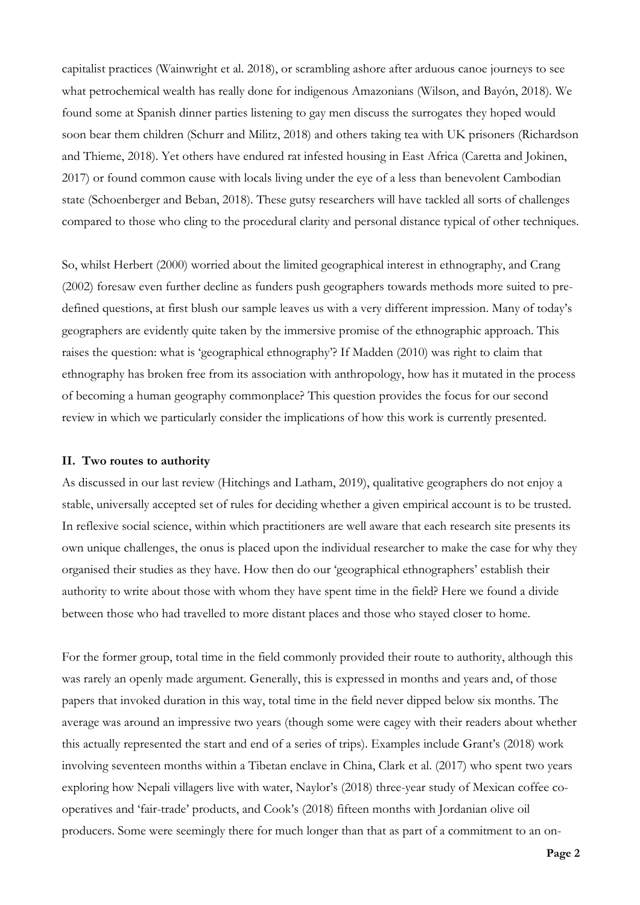capitalist practices (Wainwright et al. 2018), or scrambling ashore after arduous canoe journeys to see what petrochemical wealth has really done for indigenous Amazonians (Wilson, and Bayón, 2018). We found some at Spanish dinner parties listening to gay men discuss the surrogates they hoped would soon bear them children (Schurr and Militz, 2018) and others taking tea with UK prisoners (Richardson and Thieme, 2018). Yet others have endured rat infested housing in East Africa (Caretta and Jokinen, 2017) or found common cause with locals living under the eye of a less than benevolent Cambodian state (Schoenberger and Beban, 2018). These gutsy researchers will have tackled all sorts of challenges compared to those who cling to the procedural clarity and personal distance typical of other techniques.

So, whilst Herbert (2000) worried about the limited geographical interest in ethnography, and Crang (2002) foresaw even further decline as funders push geographers towards methods more suited to predefined questions, at first blush our sample leaves us with a very different impression. Many of today's geographers are evidently quite taken by the immersive promise of the ethnographic approach. This raises the question: what is 'geographical ethnography'? If Madden (2010) was right to claim that ethnography has broken free from its association with anthropology, how has it mutated in the process of becoming a human geography commonplace? This question provides the focus for our second review in which we particularly consider the implications of how this work is currently presented.

#### **II. Two routes to authority**

As discussed in our last review (Hitchings and Latham, 2019), qualitative geographers do not enjoy a stable, universally accepted set of rules for deciding whether a given empirical account is to be trusted. In reflexive social science, within which practitioners are well aware that each research site presents its own unique challenges, the onus is placed upon the individual researcher to make the case for why they organised their studies as they have. How then do our 'geographical ethnographers' establish their authority to write about those with whom they have spent time in the field? Here we found a divide between those who had travelled to more distant places and those who stayed closer to home.

For the former group, total time in the field commonly provided their route to authority, although this was rarely an openly made argument. Generally, this is expressed in months and years and, of those papers that invoked duration in this way, total time in the field never dipped below six months. The average was around an impressive two years (though some were cagey with their readers about whether this actually represented the start and end of a series of trips). Examples include Grant's (2018) work involving seventeen months within a Tibetan enclave in China, Clark et al. (2017) who spent two years exploring how Nepali villagers live with water, Naylor's (2018) three-year study of Mexican coffee cooperatives and 'fair-trade' products, and Cook's (2018) fifteen months with Jordanian olive oil producers. Some were seemingly there for much longer than that as part of a commitment to an on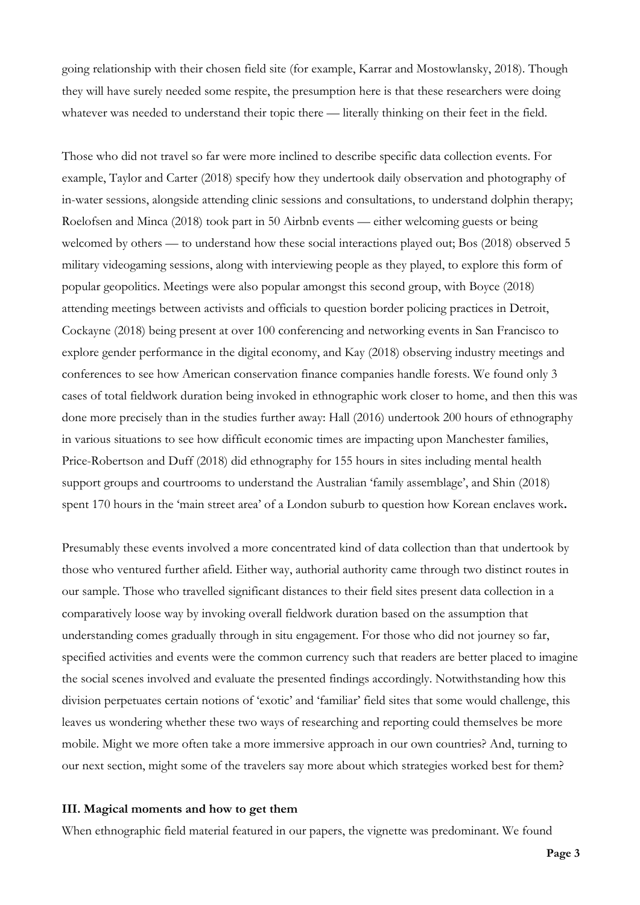going relationship with their chosen field site (for example, Karrar and Mostowlansky, 2018). Though they will have surely needed some respite, the presumption here is that these researchers were doing whatever was needed to understand their topic there — literally thinking on their feet in the field.

Those who did not travel so far were more inclined to describe specific data collection events. For example, Taylor and Carter (2018) specify how they undertook daily observation and photography of in-water sessions, alongside attending clinic sessions and consultations, to understand dolphin therapy; Roelofsen and Minca (2018) took part in 50 Airbnb events — either welcoming guests or being welcomed by others — to understand how these social interactions played out; Bos (2018) observed 5 military videogaming sessions, along with interviewing people as they played, to explore this form of popular geopolitics. Meetings were also popular amongst this second group, with Boyce (2018) attending meetings between activists and officials to question border policing practices in Detroit, Cockayne (2018) being present at over 100 conferencing and networking events in San Francisco to explore gender performance in the digital economy, and Kay (2018) observing industry meetings and conferences to see how American conservation finance companies handle forests. We found only 3 cases of total fieldwork duration being invoked in ethnographic work closer to home, and then this was done more precisely than in the studies further away: Hall (2016) undertook 200 hours of ethnography in various situations to see how difficult economic times are impacting upon Manchester families, Price-Robertson and Duff (2018) did ethnography for 155 hours in sites including mental health support groups and courtrooms to understand the Australian 'family assemblage', and Shin (2018) spent 170 hours in the 'main street area' of a London suburb to question how Korean enclaves work**.**

Presumably these events involved a more concentrated kind of data collection than that undertook by those who ventured further afield. Either way, authorial authority came through two distinct routes in our sample. Those who travelled significant distances to their field sites present data collection in a comparatively loose way by invoking overall fieldwork duration based on the assumption that understanding comes gradually through in situ engagement. For those who did not journey so far, specified activities and events were the common currency such that readers are better placed to imagine the social scenes involved and evaluate the presented findings accordingly. Notwithstanding how this division perpetuates certain notions of 'exotic' and 'familiar' field sites that some would challenge, this leaves us wondering whether these two ways of researching and reporting could themselves be more mobile. Might we more often take a more immersive approach in our own countries? And, turning to our next section, might some of the travelers say more about which strategies worked best for them?

#### **III. Magical moments and how to get them**

When ethnographic field material featured in our papers, the vignette was predominant. We found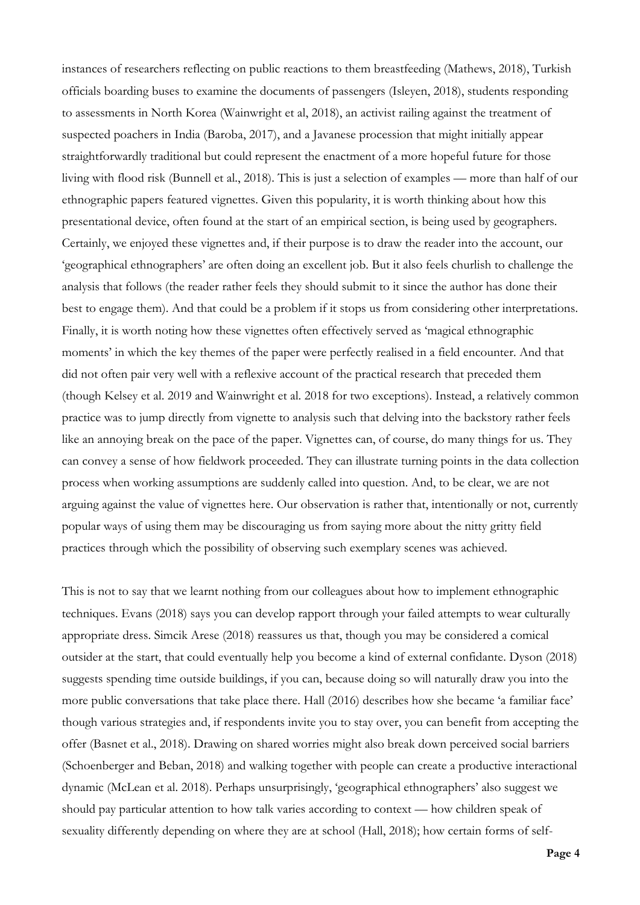instances of researchers reflecting on public reactions to them breastfeeding (Mathews, 2018), Turkish officials boarding buses to examine the documents of passengers (Isleyen, 2018), students responding to assessments in North Korea (Wainwright et al, 2018), an activist railing against the treatment of suspected poachers in India (Baroba, 2017), and a Javanese procession that might initially appear straightforwardly traditional but could represent the enactment of a more hopeful future for those living with flood risk (Bunnell et al., 2018). This is just a selection of examples — more than half of our ethnographic papers featured vignettes. Given this popularity, it is worth thinking about how this presentational device, often found at the start of an empirical section, is being used by geographers. Certainly, we enjoyed these vignettes and, if their purpose is to draw the reader into the account, our 'geographical ethnographers' are often doing an excellent job. But it also feels churlish to challenge the analysis that follows (the reader rather feels they should submit to it since the author has done their best to engage them). And that could be a problem if it stops us from considering other interpretations. Finally, it is worth noting how these vignettes often effectively served as 'magical ethnographic moments' in which the key themes of the paper were perfectly realised in a field encounter. And that did not often pair very well with a reflexive account of the practical research that preceded them (though Kelsey et al. 2019 and Wainwright et al. 2018 for two exceptions). Instead, a relatively common practice was to jump directly from vignette to analysis such that delving into the backstory rather feels like an annoying break on the pace of the paper. Vignettes can, of course, do many things for us. They can convey a sense of how fieldwork proceeded. They can illustrate turning points in the data collection process when working assumptions are suddenly called into question. And, to be clear, we are not arguing against the value of vignettes here. Our observation is rather that, intentionally or not, currently popular ways of using them may be discouraging us from saying more about the nitty gritty field practices through which the possibility of observing such exemplary scenes was achieved.

This is not to say that we learnt nothing from our colleagues about how to implement ethnographic techniques. Evans (2018) says you can develop rapport through your failed attempts to wear culturally appropriate dress. Simcik Arese (2018) reassures us that, though you may be considered a comical outsider at the start, that could eventually help you become a kind of external confidante. Dyson (2018) suggests spending time outside buildings, if you can, because doing so will naturally draw you into the more public conversations that take place there. Hall (2016) describes how she became 'a familiar face' though various strategies and, if respondents invite you to stay over, you can benefit from accepting the offer (Basnet et al., 2018). Drawing on shared worries might also break down perceived social barriers (Schoenberger and Beban, 2018) and walking together with people can create a productive interactional dynamic (McLean et al. 2018). Perhaps unsurprisingly, 'geographical ethnographers' also suggest we should pay particular attention to how talk varies according to context — how children speak of sexuality differently depending on where they are at school (Hall, 2018); how certain forms of self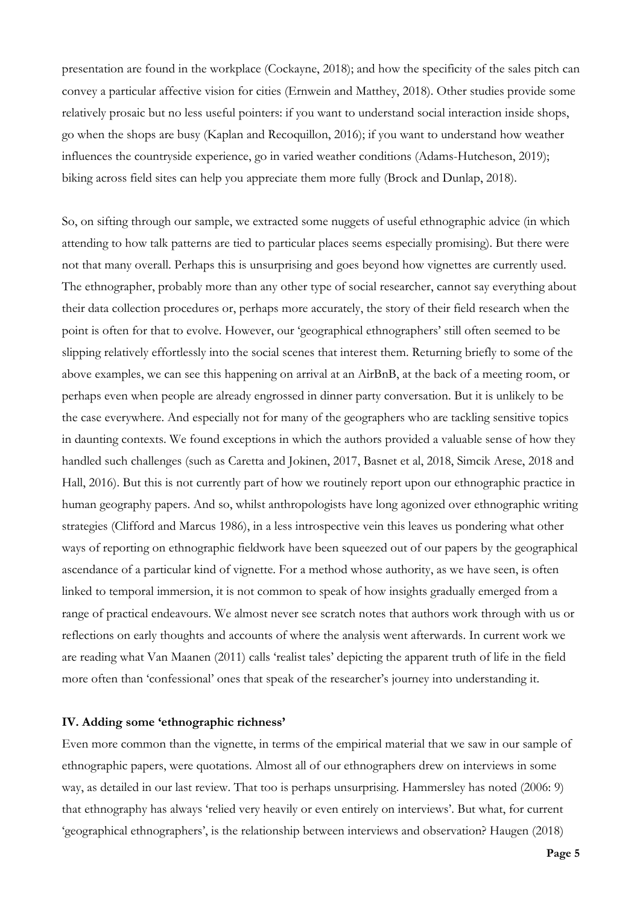presentation are found in the workplace (Cockayne, 2018); and how the specificity of the sales pitch can convey a particular affective vision for cities (Ernwein and Matthey, 2018). Other studies provide some relatively prosaic but no less useful pointers: if you want to understand social interaction inside shops, go when the shops are busy (Kaplan and Recoquillon, 2016); if you want to understand how weather influences the countryside experience, go in varied weather conditions (Adams-Hutcheson, 2019); biking across field sites can help you appreciate them more fully (Brock and Dunlap, 2018).

So, on sifting through our sample, we extracted some nuggets of useful ethnographic advice (in which attending to how talk patterns are tied to particular places seems especially promising). But there were not that many overall. Perhaps this is unsurprising and goes beyond how vignettes are currently used. The ethnographer, probably more than any other type of social researcher, cannot say everything about their data collection procedures or, perhaps more accurately, the story of their field research when the point is often for that to evolve. However, our 'geographical ethnographers' still often seemed to be slipping relatively effortlessly into the social scenes that interest them. Returning briefly to some of the above examples, we can see this happening on arrival at an AirBnB, at the back of a meeting room, or perhaps even when people are already engrossed in dinner party conversation. But it is unlikely to be the case everywhere. And especially not for many of the geographers who are tackling sensitive topics in daunting contexts. We found exceptions in which the authors provided a valuable sense of how they handled such challenges (such as Caretta and Jokinen, 2017, Basnet et al, 2018, Simcik Arese, 2018 and Hall, 2016). But this is not currently part of how we routinely report upon our ethnographic practice in human geography papers. And so, whilst anthropologists have long agonized over ethnographic writing strategies (Clifford and Marcus 1986), in a less introspective vein this leaves us pondering what other ways of reporting on ethnographic fieldwork have been squeezed out of our papers by the geographical ascendance of a particular kind of vignette. For a method whose authority, as we have seen, is often linked to temporal immersion, it is not common to speak of how insights gradually emerged from a range of practical endeavours. We almost never see scratch notes that authors work through with us or reflections on early thoughts and accounts of where the analysis went afterwards. In current work we are reading what Van Maanen (2011) calls 'realist tales' depicting the apparent truth of life in the field more often than 'confessional' ones that speak of the researcher's journey into understanding it.

# **IV. Adding some 'ethnographic richness'**

Even more common than the vignette, in terms of the empirical material that we saw in our sample of ethnographic papers, were quotations. Almost all of our ethnographers drew on interviews in some way, as detailed in our last review. That too is perhaps unsurprising. Hammersley has noted (2006: 9) that ethnography has always 'relied very heavily or even entirely on interviews'. But what, for current 'geographical ethnographers', is the relationship between interviews and observation? Haugen (2018)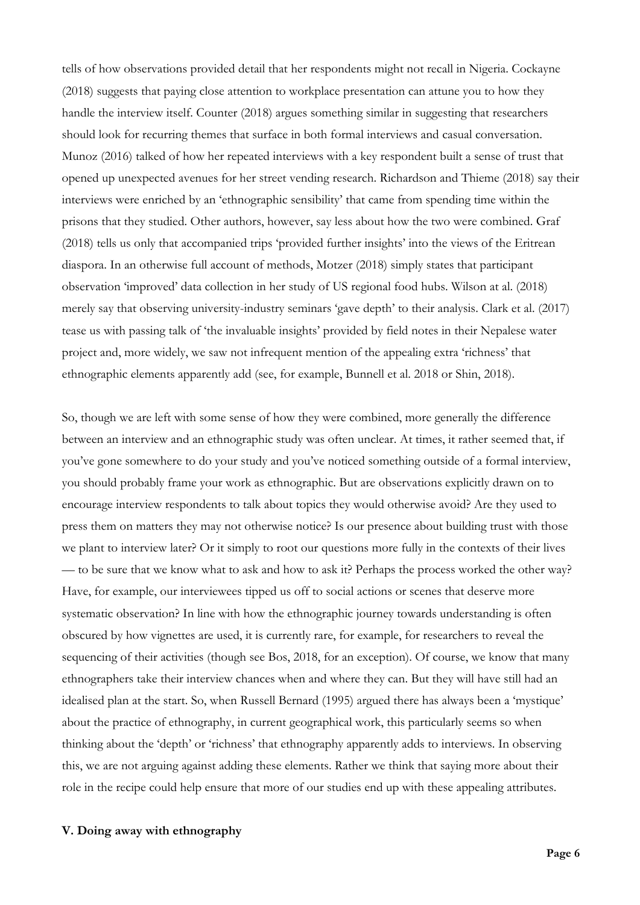tells of how observations provided detail that her respondents might not recall in Nigeria. Cockayne (2018) suggests that paying close attention to workplace presentation can attune you to how they handle the interview itself. Counter (2018) argues something similar in suggesting that researchers should look for recurring themes that surface in both formal interviews and casual conversation. Munoz (2016) talked of how her repeated interviews with a key respondent built a sense of trust that opened up unexpected avenues for her street vending research. Richardson and Thieme (2018) say their interviews were enriched by an 'ethnographic sensibility' that came from spending time within the prisons that they studied. Other authors, however, say less about how the two were combined. Graf (2018) tells us only that accompanied trips 'provided further insights' into the views of the Eritrean diaspora. In an otherwise full account of methods, Motzer (2018) simply states that participant observation 'improved' data collection in her study of US regional food hubs. Wilson at al. (2018) merely say that observing university-industry seminars 'gave depth' to their analysis. Clark et al. (2017) tease us with passing talk of 'the invaluable insights' provided by field notes in their Nepalese water project and, more widely, we saw not infrequent mention of the appealing extra 'richness' that ethnographic elements apparently add (see, for example, Bunnell et al. 2018 or Shin, 2018).

So, though we are left with some sense of how they were combined, more generally the difference between an interview and an ethnographic study was often unclear. At times, it rather seemed that, if you've gone somewhere to do your study and you've noticed something outside of a formal interview, you should probably frame your work as ethnographic. But are observations explicitly drawn on to encourage interview respondents to talk about topics they would otherwise avoid? Are they used to press them on matters they may not otherwise notice? Is our presence about building trust with those we plant to interview later? Or it simply to root our questions more fully in the contexts of their lives — to be sure that we know what to ask and how to ask it? Perhaps the process worked the other way? Have, for example, our interviewees tipped us off to social actions or scenes that deserve more systematic observation? In line with how the ethnographic journey towards understanding is often obscured by how vignettes are used, it is currently rare, for example, for researchers to reveal the sequencing of their activities (though see Bos, 2018, for an exception). Of course, we know that many ethnographers take their interview chances when and where they can. But they will have still had an idealised plan at the start. So, when Russell Bernard (1995) argued there has always been a 'mystique' about the practice of ethnography, in current geographical work, this particularly seems so when thinking about the 'depth' or 'richness' that ethnography apparently adds to interviews. In observing this, we are not arguing against adding these elements. Rather we think that saying more about their role in the recipe could help ensure that more of our studies end up with these appealing attributes.

# **V. Doing away with ethnography**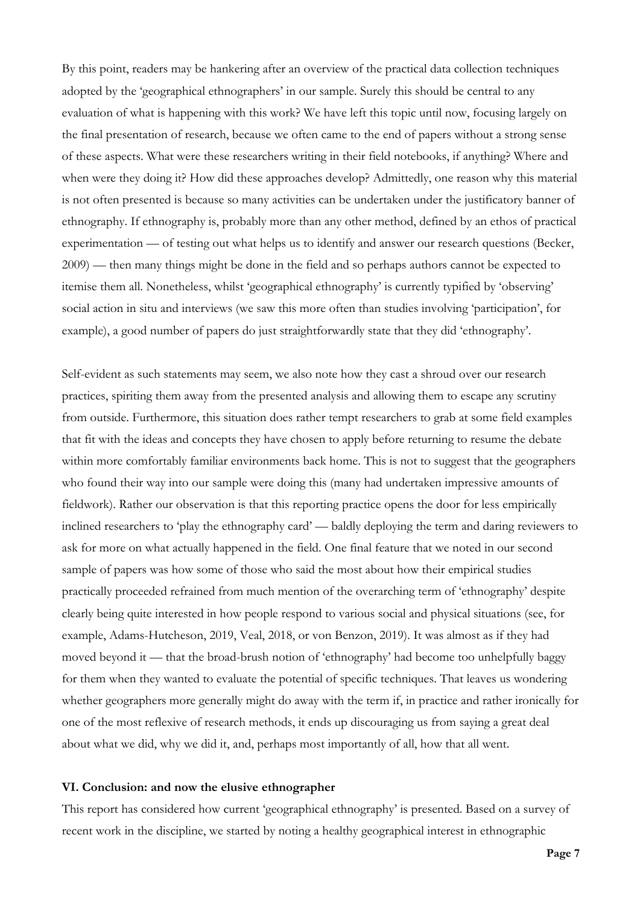By this point, readers may be hankering after an overview of the practical data collection techniques adopted by the 'geographical ethnographers' in our sample. Surely this should be central to any evaluation of what is happening with this work? We have left this topic until now, focusing largely on the final presentation of research, because we often came to the end of papers without a strong sense of these aspects. What were these researchers writing in their field notebooks, if anything? Where and when were they doing it? How did these approaches develop? Admittedly, one reason why this material is not often presented is because so many activities can be undertaken under the justificatory banner of ethnography. If ethnography is, probably more than any other method, defined by an ethos of practical experimentation — of testing out what helps us to identify and answer our research questions (Becker, 2009) — then many things might be done in the field and so perhaps authors cannot be expected to itemise them all. Nonetheless, whilst 'geographical ethnography' is currently typified by 'observing' social action in situ and interviews (we saw this more often than studies involving 'participation', for example), a good number of papers do just straightforwardly state that they did 'ethnography'.

Self-evident as such statements may seem, we also note how they cast a shroud over our research practices, spiriting them away from the presented analysis and allowing them to escape any scrutiny from outside. Furthermore, this situation does rather tempt researchers to grab at some field examples that fit with the ideas and concepts they have chosen to apply before returning to resume the debate within more comfortably familiar environments back home. This is not to suggest that the geographers who found their way into our sample were doing this (many had undertaken impressive amounts of fieldwork). Rather our observation is that this reporting practice opens the door for less empirically inclined researchers to 'play the ethnography card' — baldly deploying the term and daring reviewers to ask for more on what actually happened in the field. One final feature that we noted in our second sample of papers was how some of those who said the most about how their empirical studies practically proceeded refrained from much mention of the overarching term of 'ethnography' despite clearly being quite interested in how people respond to various social and physical situations (see, for example, Adams-Hutcheson, 2019, Veal, 2018, or von Benzon, 2019). It was almost as if they had moved beyond it — that the broad-brush notion of 'ethnography' had become too unhelpfully baggy for them when they wanted to evaluate the potential of specific techniques. That leaves us wondering whether geographers more generally might do away with the term if, in practice and rather ironically for one of the most reflexive of research methods, it ends up discouraging us from saying a great deal about what we did, why we did it, and, perhaps most importantly of all, how that all went.

#### **VI. Conclusion: and now the elusive ethnographer**

This report has considered how current 'geographical ethnography' is presented. Based on a survey of recent work in the discipline, we started by noting a healthy geographical interest in ethnographic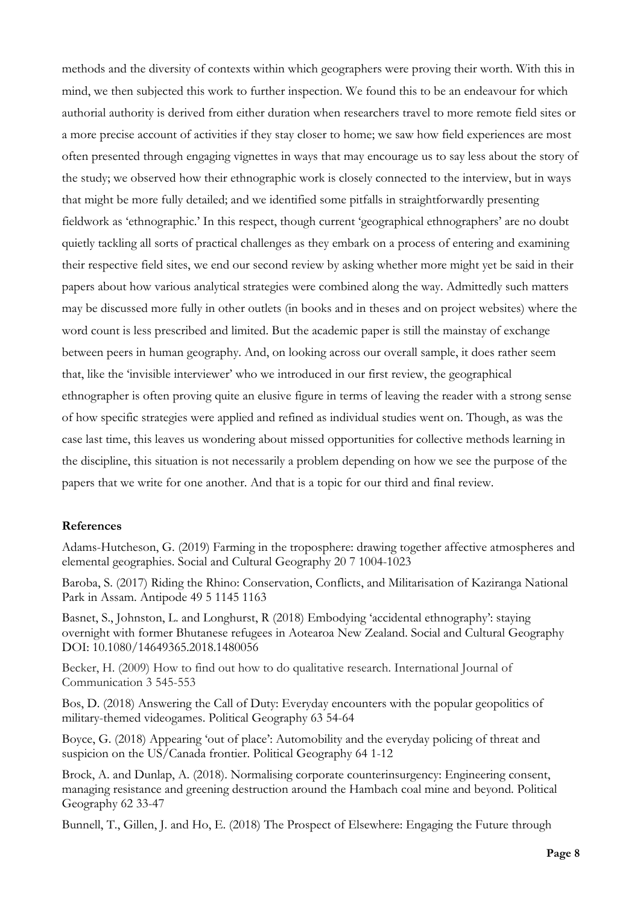methods and the diversity of contexts within which geographers were proving their worth. With this in mind, we then subjected this work to further inspection. We found this to be an endeavour for which authorial authority is derived from either duration when researchers travel to more remote field sites or a more precise account of activities if they stay closer to home; we saw how field experiences are most often presented through engaging vignettes in ways that may encourage us to say less about the story of the study; we observed how their ethnographic work is closely connected to the interview, but in ways that might be more fully detailed; and we identified some pitfalls in straightforwardly presenting fieldwork as 'ethnographic.' In this respect, though current 'geographical ethnographers' are no doubt quietly tackling all sorts of practical challenges as they embark on a process of entering and examining their respective field sites, we end our second review by asking whether more might yet be said in their papers about how various analytical strategies were combined along the way. Admittedly such matters may be discussed more fully in other outlets (in books and in theses and on project websites) where the word count is less prescribed and limited. But the academic paper is still the mainstay of exchange between peers in human geography. And, on looking across our overall sample, it does rather seem that, like the 'invisible interviewer' who we introduced in our first review, the geographical ethnographer is often proving quite an elusive figure in terms of leaving the reader with a strong sense of how specific strategies were applied and refined as individual studies went on. Though, as was the case last time, this leaves us wondering about missed opportunities for collective methods learning in the discipline, this situation is not necessarily a problem depending on how we see the purpose of the papers that we write for one another. And that is a topic for our third and final review.

## **References**

Adams-Hutcheson, G. (2019) Farming in the troposphere: drawing together affective atmospheres and elemental geographies. Social and Cultural Geography 20 7 1004-1023

Baroba, S. (2017) Riding the Rhino: Conservation, Conflicts, and Militarisation of Kaziranga National Park in Assam. Antipode 49 5 1145 1163

Basnet, S., Johnston, L. and Longhurst, R (2018) Embodying 'accidental ethnography': staying overnight with former Bhutanese refugees in Aotearoa New Zealand. Social and Cultural Geography DOI: 10.1080/14649365.2018.1480056

Becker, H. (2009) How to find out how to do qualitative research. International Journal of Communication 3 545-553

Bos, D. (2018) Answering the Call of Duty: Everyday encounters with the popular geopolitics of military-themed videogames. Political Geography 63 54-64

Boyce, G. (2018) Appearing 'out of place': Automobility and the everyday policing of threat and suspicion on the US/Canada frontier. Political Geography 64 1-12

Brock, A. and Dunlap, A. (2018). Normalising corporate counterinsurgency: Engineering consent, managing resistance and greening destruction around the Hambach coal mine and beyond. Political Geography 62 33-47

Bunnell, T., Gillen, J. and Ho, E. (2018) The Prospect of Elsewhere: Engaging the Future through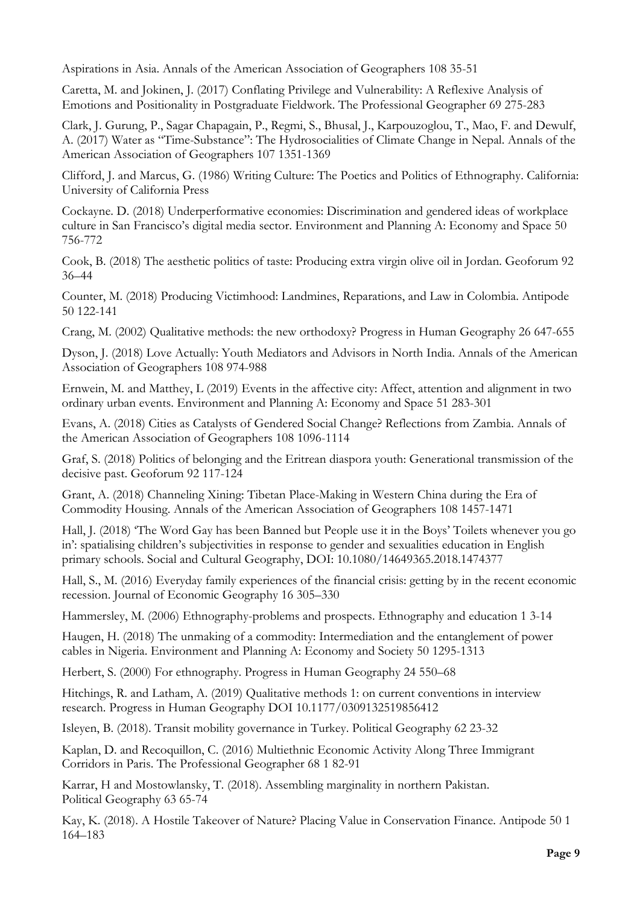Aspirations in Asia. Annals of the American Association of Geographers 108 35-51

Caretta, M. and Jokinen, J. (2017) Conflating Privilege and Vulnerability: A Reflexive Analysis of Emotions and Positionality in Postgraduate Fieldwork. The Professional Geographer 69 275-283

Clark, J. Gurung, P., Sagar Chapagain, P., Regmi, S., Bhusal, J., Karpouzoglou, T., Mao, F. and Dewulf, A. (2017) Water as "Time-Substance": The Hydrosocialities of Climate Change in Nepal. Annals of the American Association of Geographers 107 1351-1369

Clifford, J. and Marcus, G. (1986) Writing Culture: The Poetics and Politics of Ethnography. California: University of California Press

Cockayne. D. (2018) Underperformative economies: Discrimination and gendered ideas of workplace culture in San Francisco's digital media sector. Environment and Planning A: Economy and Space 50 756-772

Cook, B. (2018) The aesthetic politics of taste: Producing extra virgin olive oil in Jordan. Geoforum 92 36–44

Counter, M. (2018) Producing Victimhood: Landmines, Reparations, and Law in Colombia. Antipode 50 122-141

Crang, M. (2002) Qualitative methods: the new orthodoxy? Progress in Human Geography 26 647-655

Dyson, J. (2018) Love Actually: Youth Mediators and Advisors in North India. Annals of the American Association of Geographers 108 974-988

Ernwein, M. and Matthey, L (2019) Events in the affective city: Affect, attention and alignment in two ordinary urban events. Environment and Planning A: Economy and Space 51 283-301

Evans, A. (2018) Cities as Catalysts of Gendered Social Change? Reflections from Zambia. Annals of the American Association of Geographers 108 1096-1114

Graf, S. (2018) Politics of belonging and the Eritrean diaspora youth: Generational transmission of the decisive past. Geoforum 92 117-124

Grant, A. (2018) Channeling Xining: Tibetan Place-Making in Western China during the Era of Commodity Housing. Annals of the American Association of Geographers 108 1457-1471

Hall, J. (2018) 'The Word Gay has been Banned but People use it in the Boys' Toilets whenever you go in': spatialising children's subjectivities in response to gender and sexualities education in English primary schools. Social and Cultural Geography, DOI: 10.1080/14649365.2018.1474377

Hall, S., M. (2016) Everyday family experiences of the financial crisis: getting by in the recent economic recession. Journal of Economic Geography 16 305–330

Hammersley, M. (2006) Ethnography-problems and prospects. Ethnography and education 1 3-14

Haugen, H. (2018) The unmaking of a commodity: Intermediation and the entanglement of power cables in Nigeria. Environment and Planning A: Economy and Society 50 1295-1313

Herbert, S. (2000) For ethnography. Progress in Human Geography 24 550–68

Hitchings, R. and Latham, A. (2019) Qualitative methods 1: on current conventions in interview research. Progress in Human Geography DOI 10.1177/0309132519856412

Isleyen, B. (2018). Transit mobility governance in Turkey. Political Geography 62 23-32

Kaplan, D. and Recoquillon, C. (2016) Multiethnic Economic Activity Along Three Immigrant Corridors in Paris. The Professional Geographer 68 1 82-91

Karrar, H and Mostowlansky, T. (2018). Assembling marginality in northern Pakistan. Political Geography 63 65-74

Kay, K. (2018). A Hostile Takeover of Nature? Placing Value in Conservation Finance. Antipode 50 1 164–183